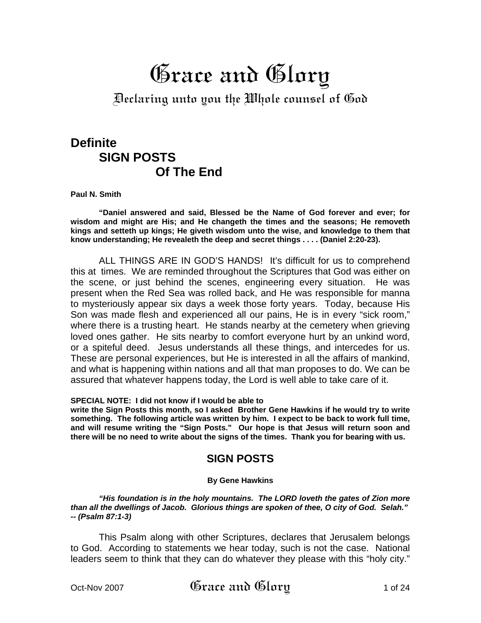# Grace and Glory

Declaring unto you the Whole counsel of God

# **Definite SIGN POSTS Of The End**

**Paul N. Smith** 

 **"Daniel answered and said, Blessed be the Name of God forever and ever; for wisdom and might are His; and He changeth the times and the seasons; He removeth kings and setteth up kings; He giveth wisdom unto the wise, and knowledge to them that know understanding; He revealeth the deep and secret things . . . . (Daniel 2:20-23).** 

 ALL THINGS ARE IN GOD'S HANDS! It's difficult for us to comprehend this at times. We are reminded throughout the Scriptures that God was either on the scene, or just behind the scenes, engineering every situation. He was present when the Red Sea was rolled back, and He was responsible for manna to mysteriously appear six days a week those forty years. Today, because His Son was made flesh and experienced all our pains, He is in every "sick room," where there is a trusting heart. He stands nearby at the cemetery when grieving loved ones gather. He sits nearby to comfort everyone hurt by an unkind word, or a spiteful deed. Jesus understands all these things, and intercedes for us. These are personal experiences, but He is interested in all the affairs of mankind, and what is happening within nations and all that man proposes to do. We can be assured that whatever happens today, the Lord is well able to take care of it.

**SPECIAL NOTE: I did not know if I would be able to** 

**write the Sign Posts this month, so I asked Brother Gene Hawkins if he would try to write something. The following article was written by him. I expect to be back to work full time, and will resume writing the "Sign Posts." Our hope is that Jesus will return soon and there will be no need to write about the signs of the times. Thank you for bearing with us.**

## **SIGN POSTS**

#### **By Gene Hawkins**

*"His foundation is in the holy mountains. The LORD loveth the gates of Zion more than all the dwellings of Jacob. Glorious things are spoken of thee, O city of God. Selah." -- (Psalm 87:1-3)* 

 This Psalm along with other Scriptures, declares that Jerusalem belongs to God. According to statements we hear today, such is not the case. National leaders seem to think that they can do whatever they please with this "holy city."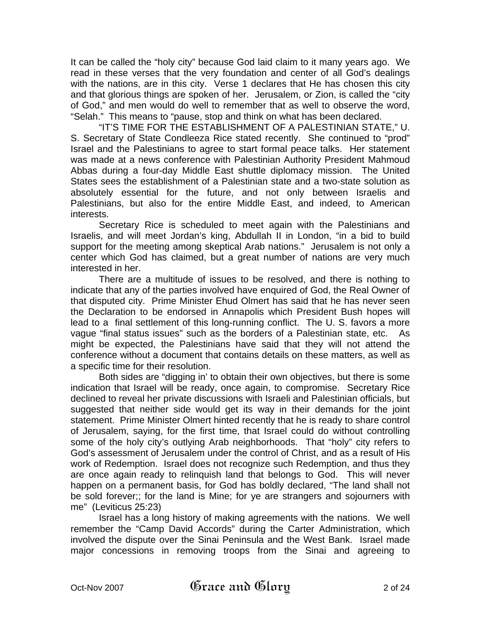It can be called the "holy city" because God laid claim to it many years ago. We read in these verses that the very foundation and center of all God's dealings with the nations, are in this city. Verse 1 declares that He has chosen this city and that glorious things are spoken of her. Jerusalem, or Zion, is called the "city of God," and men would do well to remember that as well to observe the word, "Selah." This means to "pause, stop and think on what has been declared.

 "IT'S TIME FOR THE ESTABLISHMENT OF A PALESTINIAN STATE," U. S. Secretary of State Condleeza Rice stated recently. She continued to "prod" Israel and the Palestinians to agree to start formal peace talks. Her statement was made at a news conference with Palestinian Authority President Mahmoud Abbas during a four-day Middle East shuttle diplomacy mission. The United States sees the establishment of a Palestinian state and a two-state solution as absolutely essential for the future, and not only between Israelis and Palestinians, but also for the entire Middle East, and indeed, to American interests.

 Secretary Rice is scheduled to meet again with the Palestinians and Israelis, and will meet Jordan's king, Abdullah II in London, "in a bid to build support for the meeting among skeptical Arab nations." Jerusalem is not only a center which God has claimed, but a great number of nations are very much interested in her.

 There are a multitude of issues to be resolved, and there is nothing to indicate that any of the parties involved have enquired of God, the Real Owner of that disputed city. Prime Minister Ehud Olmert has said that he has never seen the Declaration to be endorsed in Annapolis which President Bush hopes will lead to a final settlement of this long-running conflict. The U. S. favors a more vague "final status issues" such as the borders of a Palestinian state, etc. As might be expected, the Palestinians have said that they will not attend the conference without a document that contains details on these matters, as well as a specific time for their resolution.

 Both sides are "digging in' to obtain their own objectives, but there is some indication that Israel will be ready, once again, to compromise. Secretary Rice declined to reveal her private discussions with Israeli and Palestinian officials, but suggested that neither side would get its way in their demands for the joint statement. Prime Minister Olmert hinted recently that he is ready to share control of Jerusalem, saying, for the first time, that Israel could do without controlling some of the holy city's outlying Arab neighborhoods. That "holy" city refers to God's assessment of Jerusalem under the control of Christ, and as a result of His work of Redemption. Israel does not recognize such Redemption, and thus they are once again ready to relinquish land that belongs to God. This will never happen on a permanent basis, for God has boldly declared, "The land shall not be sold forever;; for the land is Mine; for ye are strangers and sojourners with me" (Leviticus 25:23)

 Israel has a long history of making agreements with the nations. We well remember the "Camp David Accords" during the Carter Administration, which involved the dispute over the Sinai Peninsula and the West Bank. Israel made major concessions in removing troops from the Sinai and agreeing to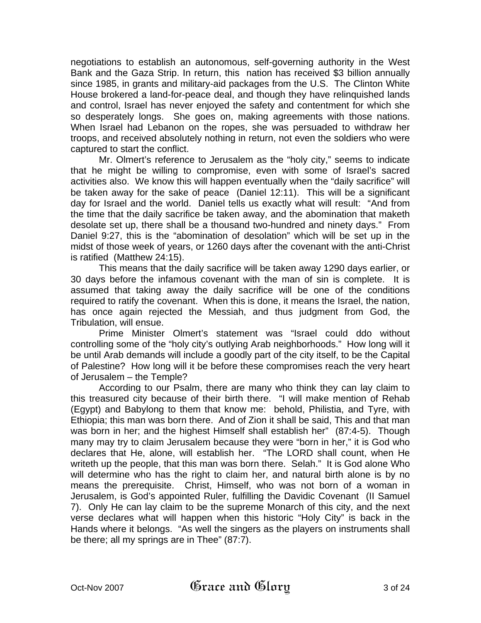negotiations to establish an autonomous, self-governing authority in the West Bank and the Gaza Strip. In return, this nation has received \$3 billion annually since 1985, in grants and military-aid packages from the U.S. The Clinton White House brokered a land-for-peace deal, and though they have relinquished lands and control, Israel has never enjoyed the safety and contentment for which she so desperately longs. She goes on, making agreements with those nations. When Israel had Lebanon on the ropes, she was persuaded to withdraw her troops, and received absolutely nothing in return, not even the soldiers who were captured to start the conflict.

 Mr. Olmert's reference to Jerusalem as the "holy city," seems to indicate that he might be willing to compromise, even with some of Israel's sacred activities also. We know this will happen eventually when the "daily sacrifice" will be taken away for the sake of peace (Daniel 12:11). This will be a significant day for Israel and the world. Daniel tells us exactly what will result: "And from the time that the daily sacrifice be taken away, and the abomination that maketh desolate set up, there shall be a thousand two-hundred and ninety days." From Daniel 9:27, this is the "abomination of desolation" which will be set up in the midst of those week of years, or 1260 days after the covenant with the anti-Christ is ratified (Matthew 24:15).

 This means that the daily sacrifice will be taken away 1290 days earlier, or 30 days before the infamous covenant with the man of sin is complete. It is assumed that taking away the daily sacrifice will be one of the conditions required to ratify the covenant. When this is done, it means the Israel, the nation, has once again rejected the Messiah, and thus judgment from God, the Tribulation, will ensue.

 Prime Minister Olmert's statement was "Israel could ddo without controlling some of the "holy city's outlying Arab neighborhoods." How long will it be until Arab demands will include a goodly part of the city itself, to be the Capital of Palestine? How long will it be before these compromises reach the very heart of Jerusalem – the Temple?

 According to our Psalm, there are many who think they can lay claim to this treasured city because of their birth there. "I will make mention of Rehab (Egypt) and Babylong to them that know me: behold, Philistia, and Tyre, with Ethiopia; this man was born there. And of Zion it shall be said, This and that man was born in her; and the highest Himself shall establish her" (87:4-5). Though many may try to claim Jerusalem because they were "born in her," it is God who declares that He, alone, will establish her. "The LORD shall count, when He writeth up the people, that this man was born there. Selah." It is God alone Who will determine who has the right to claim her, and natural birth alone is by no means the prerequisite. Christ, Himself, who was not born of a woman in Jerusalem, is God's appointed Ruler, fulfilling the Davidic Covenant (II Samuel 7). Only He can lay claim to be the supreme Monarch of this city, and the next verse declares what will happen when this historic "Holy City" is back in the Hands where it belongs. "As well the singers as the players on instruments shall be there; all my springs are in Thee" (87:7).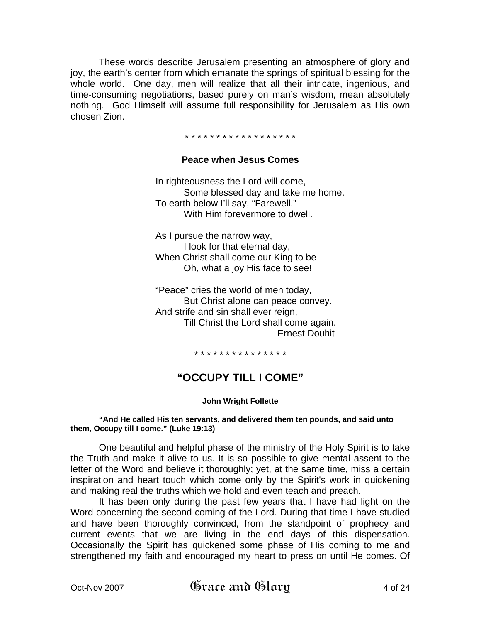These words describe Jerusalem presenting an atmosphere of glory and joy, the earth's center from which emanate the springs of spiritual blessing for the whole world. One day, men will realize that all their intricate, ingenious, and time-consuming negotiations, based purely on man's wisdom, mean absolutely nothing. God Himself will assume full responsibility for Jerusalem as His own chosen Zion.

#### \* \* \* \* \* \* \* \* \* \* \* \* \* \* \* \* \* \*

#### **Peace when Jesus Comes**

 In righteousness the Lord will come, Some blessed day and take me home. To earth below I'll say, "Farewell." With Him forevermore to dwell.

 As I pursue the narrow way, I look for that eternal day, When Christ shall come our King to be Oh, what a joy His face to see!

 "Peace" cries the world of men today, But Christ alone can peace convey. And strife and sin shall ever reign, Till Christ the Lord shall come again. -- Ernest Douhit

\* \* \* \* \* \* \* \* \* \* \* \* \* \* \*

## **"OCCUPY TILL I COME"**

#### **John Wright Follette**

#### **"And He called His ten servants, and delivered them ten pounds, and said unto them, Occupy till I come." (Luke 19:13)**

One beautiful and helpful phase of the ministry of the Holy Spirit is to take the Truth and make it alive to us. It is so possible to give mental assent to the letter of the Word and believe it thoroughly; yet, at the same time, miss a certain inspiration and heart touch which come only by the Spirit's work in quickening and making real the truths which we hold and even teach and preach.

It has been only during the past few years that I have had light on the Word concerning the second coming of the Lord. During that time I have studied and have been thoroughly convinced, from the standpoint of prophecy and current events that we are living in the end days of this dispensation. Occasionally the Spirit has quickened some phase of His coming to me and strengthened my faith and encouraged my heart to press on until He comes. Of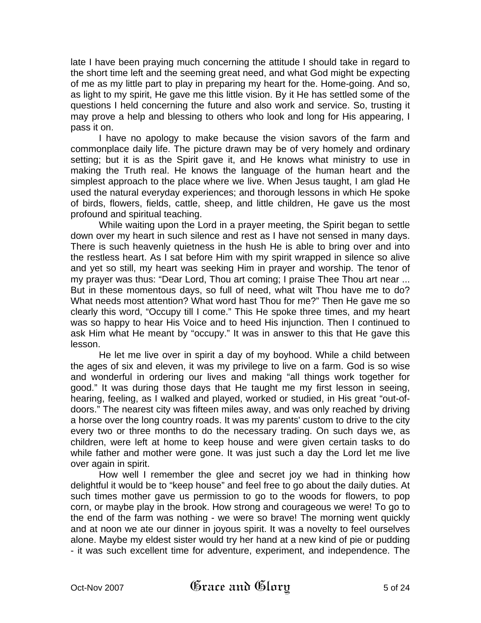late I have been praying much concerning the attitude I should take in regard to the short time left and the seeming great need, and what God might be expecting of me as my little part to play in preparing my heart for the. Home-going. And so, as light to my spirit, He gave me this little vision. By it He has settled some of the questions I held concerning the future and also work and service. So, trusting it may prove a help and blessing to others who look and long for His appearing, I pass it on.

I have no apology to make because the vision savors of the farm and commonplace daily life. The picture drawn may be of very homely and ordinary setting; but it is as the Spirit gave it, and He knows what ministry to use in making the Truth real. He knows the language of the human heart and the simplest approach to the place where we live. When Jesus taught, I am glad He used the natural everyday experiences; and thorough lessons in which He spoke of birds, flowers, fields, cattle, sheep, and little children, He gave us the most profound and spiritual teaching.

While waiting upon the Lord in a prayer meeting, the Spirit began to settle down over my heart in such silence and rest as I have not sensed in many days. There is such heavenly quietness in the hush He is able to bring over and into the restless heart. As I sat before Him with my spirit wrapped in silence so alive and yet so still, my heart was seeking Him in prayer and worship. The tenor of my prayer was thus: "Dear Lord, Thou art coming; I praise Thee Thou art near ... But in these momentous days, so full of need, what wilt Thou have me to do? What needs most attention? What word hast Thou for me?" Then He gave me so clearly this word, "Occupy till I come." This He spoke three times, and my heart was so happy to hear His Voice and to heed His injunction. Then I continued to ask Him what He meant by "occupy." It was in answer to this that He gave this lesson.

He let me live over in spirit a day of my boyhood. While a child between the ages of six and eleven, it was my privilege to live on a farm. God is so wise and wonderful in ordering our lives and making "all things work together for good." It was during those days that He taught me my first lesson in seeing, hearing, feeling, as I walked and played, worked or studied, in His great "out-ofdoors." The nearest city was fifteen miles away, and was only reached by driving a horse over the long country roads. It was my parents' custom to drive to the city every two or three months to do the necessary trading. On such days we, as children, were left at home to keep house and were given certain tasks to do while father and mother were gone. It was just such a day the Lord let me live over again in spirit.

How well I remember the glee and secret joy we had in thinking how delightful it would be to "keep house" and feel free to go about the daily duties. At such times mother gave us permission to go to the woods for flowers, to pop corn, or maybe play in the brook. How strong and courageous we were! To go to the end of the farm was nothing - we were so brave! The morning went quickly and at noon we ate our dinner in joyous spirit. It was a novelty to feel ourselves alone. Maybe my eldest sister would try her hand at a new kind of pie or pudding - it was such excellent time for adventure, experiment, and independence. The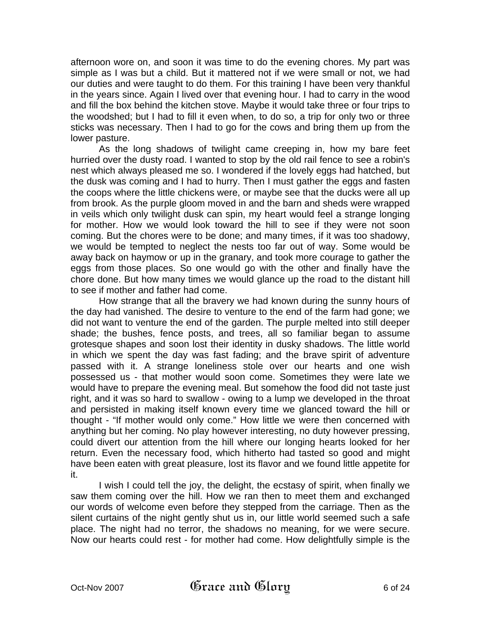afternoon wore on, and soon it was time to do the evening chores. My part was simple as I was but a child. But it mattered not if we were small or not, we had our duties and were taught to do them. For this training I have been very thankful in the years since. Again I lived over that evening hour. I had to carry in the wood and fill the box behind the kitchen stove. Maybe it would take three or four trips to the woodshed; but I had to fill it even when, to do so, a trip for only two or three sticks was necessary. Then I had to go for the cows and bring them up from the lower pasture.

As the long shadows of twilight came creeping in, how my bare feet hurried over the dusty road. I wanted to stop by the old rail fence to see a robin's nest which always pleased me so. I wondered if the lovely eggs had hatched, but the dusk was coming and I had to hurry. Then I must gather the eggs and fasten the coops where the little chickens were, or maybe see that the ducks were all up from brook. As the purple gloom moved in and the barn and sheds were wrapped in veils which only twilight dusk can spin, my heart would feel a strange longing for mother. How we would look toward the hill to see if they were not soon coming. But the chores were to be done; and many times, if it was too shadowy, we would be tempted to neglect the nests too far out of way. Some would be away back on haymow or up in the granary, and took more courage to gather the eggs from those places. So one would go with the other and finally have the chore done. But how many times we would glance up the road to the distant hill to see if mother and father had come.

How strange that all the bravery we had known during the sunny hours of the day had vanished. The desire to venture to the end of the farm had gone; we did not want to venture the end of the garden. The purple melted into still deeper shade; the bushes, fence posts, and trees, all so familiar began to assume grotesque shapes and soon lost their identity in dusky shadows. The little world in which we spent the day was fast fading; and the brave spirit of adventure passed with it. A strange loneliness stole over our hearts and one wish possessed us - that mother would soon come. Sometimes they were late we would have to prepare the evening meal. But somehow the food did not taste just right, and it was so hard to swallow - owing to a lump we developed in the throat and persisted in making itself known every time we glanced toward the hill or thought - "If mother would only come." How little we were then concerned with anything but her coming. No play however interesting, no duty however pressing, could divert our attention from the hill where our longing hearts looked for her return. Even the necessary food, which hitherto had tasted so good and might have been eaten with great pleasure, lost its flavor and we found little appetite for it.

I wish I could tell the joy, the delight, the ecstasy of spirit, when finally we saw them coming over the hill. How we ran then to meet them and exchanged our words of welcome even before they stepped from the carriage. Then as the silent curtains of the night gently shut us in, our little world seemed such a safe place. The night had no terror, the shadows no meaning, for we were secure. Now our hearts could rest - for mother had come. How delightfully simple is the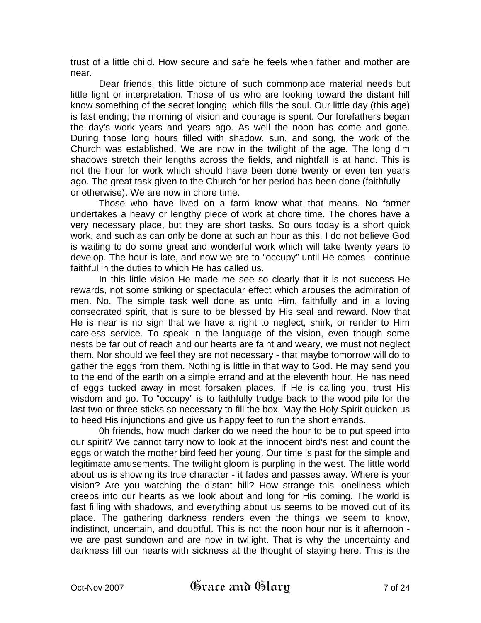trust of a little child. How secure and safe he feels when father and mother are near.

Dear friends, this little picture of such commonplace material needs but little light or interpretation. Those of us who are looking toward the distant hill know something of the secret longing which fills the soul. Our little day (this age) is fast ending; the morning of vision and courage is spent. Our forefathers began the day's work years and years ago. As well the noon has come and gone. During those long hours filled with shadow, sun, and song, the work of the Church was established. We are now in the twilight of the age. The long dim shadows stretch their lengths across the fields, and nightfall is at hand. This is not the hour for work which should have been done twenty or even ten years ago. The great task given to the Church for her period has been done (faithfully or otherwise). We are now in chore time.

Those who have lived on a farm know what that means. No farmer undertakes a heavy or lengthy piece of work at chore time. The chores have a very necessary place, but they are short tasks. So ours today is a short quick work, and such as can only be done at such an hour as this. I do not believe God is waiting to do some great and wonderful work which will take twenty years to develop. The hour is late, and now we are to "occupy" until He comes - continue faithful in the duties to which He has called us.

In this little vision He made me see so clearly that it is not success He rewards, not some striking or spectacular effect which arouses the admiration of men. No. The simple task well done as unto Him, faithfully and in a loving consecrated spirit, that is sure to be blessed by His seal and reward. Now that He is near is no sign that we have a right to neglect, shirk, or render to Him careless service. To speak in the language of the vision, even though some nests be far out of reach and our hearts are faint and weary, we must not neglect them. Nor should we feel they are not necessary - that maybe tomorrow will do to gather the eggs from them. Nothing is little in that way to God. He may send you to the end of the earth on a simple errand and at the eleventh hour. He has need of eggs tucked away in most forsaken places. If He is calling you, trust His wisdom and go. To "occupy" is to faithfully trudge back to the wood pile for the last two or three sticks so necessary to fill the box. May the Holy Spirit quicken us to heed His injunctions and give us happy feet to run the short errands.

0h friends, how much darker do we need the hour to be to put speed into our spirit? We cannot tarry now to look at the innocent bird's nest and count the eggs or watch the mother bird feed her young. Our time is past for the simple and legitimate amusements. The twilight gloom is purpling in the west. The little world about us is showing its true character - it fades and passes away. Where is your vision? Are you watching the distant hill? How strange this loneliness which creeps into our hearts as we look about and long for His coming. The world is fast filling with shadows, and everything about us seems to be moved out of its place. The gathering darkness renders even the things we seem to know, indistinct, uncertain, and doubtful. This is not the noon hour nor is it afternoon we are past sundown and are now in twilight. That is why the uncertainty and darkness fill our hearts with sickness at the thought of staying here. This is the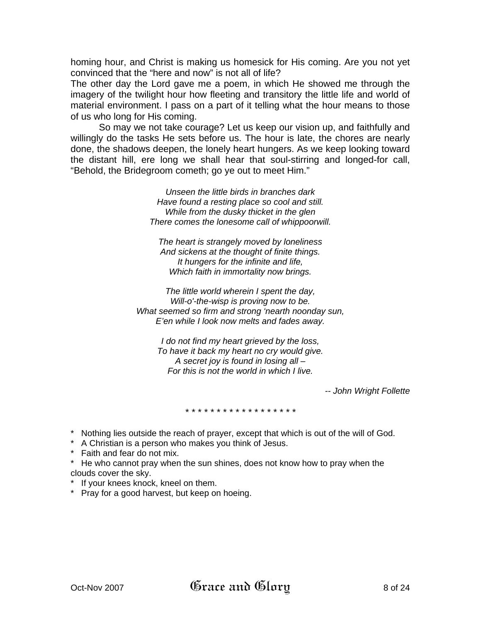homing hour, and Christ is making us homesick for His coming. Are you not yet convinced that the "here and now" is not all of life?

The other day the Lord gave me a poem, in which He showed me through the imagery of the twilight hour how fleeting and transitory the little life and world of material environment. I pass on a part of it telling what the hour means to those of us who long for His coming.

So may we not take courage? Let us keep our vision up, and faithfully and willingly do the tasks He sets before us. The hour is late, the chores are nearly done, the shadows deepen, the lonely heart hungers. As we keep looking toward the distant hill, ere long we shall hear that soul-stirring and longed-for call, "Behold, the Bridegroom cometh; go ye out to meet Him."

> *Unseen the little birds in branches dark Have found a resting place so cool and still. While from the dusky thicket in the glen There comes the lonesome call of whippoorwill.*

*The heart is strangely moved by loneliness And sickens at the thought of finite things. It hungers for the infinite and life, Which faith in immortality now brings.* 

*The little world wherein I spent the day, Will-o'-the-wisp is proving now to be. What seemed so firm and strong 'nearth noonday sun, E'en while I look now melts and fades away.* 

*I do not find my heart grieved by the loss, To have it back my heart no cry would give. A secret joy is found in losing all – For this is not the world in which I live.* 

*-- John Wright Follette* 

*\* \* \* \* \* \* \* \* \* \* \* \* \* \* \* \* \* \**

- \* Nothing lies outside the reach of prayer, except that which is out of the will of God.
- \* A Christian is a person who makes you think of Jesus.
- \* Faith and fear do not mix.
- \* He who cannot pray when the sun shines, does not know how to pray when the clouds cover the sky.
- \* If your knees knock, kneel on them.
- \* Pray for a good harvest, but keep on hoeing.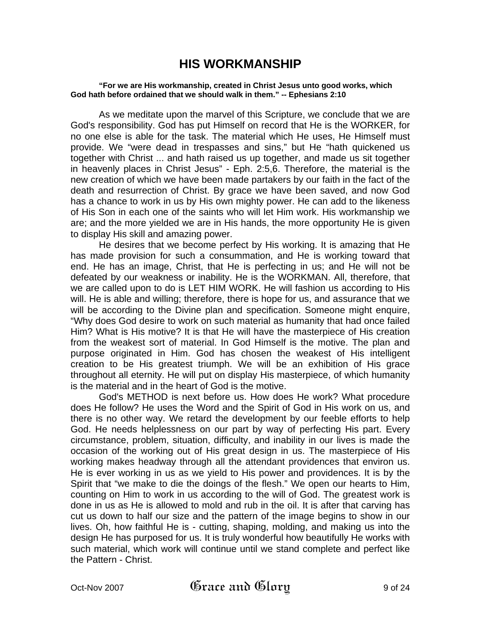# **HIS WORKMANSHIP**

#### **"For we are His workmanship, created in Christ Jesus unto good works, which God hath before ordained that we should walk in them." -- Ephesians 2:10**

 As we meditate upon the marvel of this Scripture, we conclude that we are God's responsibility. God has put Himself on record that He is the WORKER, for no one else is able for the task. The material which He uses, He Himself must provide. We "were dead in trespasses and sins," but He "hath quickened us together with Christ ... and hath raised us up together, and made us sit together in heavenly places in Christ Jesus" - Eph. 2:5,6. Therefore, the material is the new creation of which we have been made partakers by our faith in the fact of the death and resurrection of Christ. By grace we have been saved, and now God has a chance to work in us by His own mighty power. He can add to the likeness of His Son in each one of the saints who will let Him work. His workmanship we are; and the more yielded we are in His hands, the more opportunity He is given to display His skill and amazing power.

He desires that we become perfect by His working. It is amazing that He has made provision for such a consummation, and He is working toward that end. He has an image, Christ, that He is perfecting in us; and He will not be defeated by our weakness or inability. He is the WORKMAN. All, therefore, that we are called upon to do is LET HIM WORK. He will fashion us according to His will. He is able and willing; therefore, there is hope for us, and assurance that we will be according to the Divine plan and specification. Someone might enquire, "Why does God desire to work on such material as humanity that had once failed Him? What is His motive? It is that He will have the masterpiece of His creation from the weakest sort of material. In God Himself is the motive. The plan and purpose originated in Him. God has chosen the weakest of His intelligent creation to be His greatest triumph. We will be an exhibition of His grace throughout all eternity. He will put on display His masterpiece, of which humanity is the material and in the heart of God is the motive.

God's METHOD is next before us. How does He work? What procedure does He follow? He uses the Word and the Spirit of God in His work on us, and there is no other way. We retard the development by our feeble efforts to help God. He needs helplessness on our part by way of perfecting His part. Every circumstance, problem, situation, difficulty, and inability in our lives is made the occasion of the working out of His great design in us. The masterpiece of His working makes headway through all the attendant providences that environ us. He is ever working in us as we yield to His power and providences. It is by the Spirit that "we make to die the doings of the flesh." We open our hearts to Him, counting on Him to work in us according to the will of God. The greatest work is done in us as He is allowed to mold and rub in the oil. It is after that carving has cut us down to half our size and the pattern of the image begins to show in our lives. Oh, how faithful He is - cutting, shaping, molding, and making us into the design He has purposed for us. It is truly wonderful how beautifully He works with such material, which work will continue until we stand complete and perfect like the Pattern - Christ.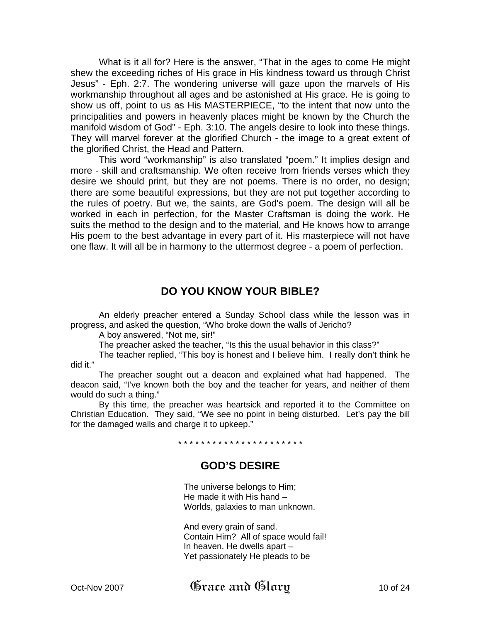What is it all for? Here is the answer, "That in the ages to come He might shew the exceeding riches of His grace in His kindness toward us through Christ Jesus" - Eph. 2:7. The wondering universe will gaze upon the marvels of His workmanship throughout all ages and be astonished at His grace. He is going to show us off, point to us as His MASTERPIECE, "to the intent that now unto the principalities and powers in heavenly places might be known by the Church the manifold wisdom of God" - Eph. 3:10. The angels desire to look into these things. They will marvel forever at the glorified Church - the image to a great extent of the glorified Christ, the Head and Pattern.

This word "workmanship" is also translated "poem." It implies design and more - skill and craftsmanship. We often receive from friends verses which they desire we should print, but they are not poems. There is no order, no design; there are some beautiful expressions, but they are not put together according to the rules of poetry. But we, the saints, are God's poem. The design will all be worked in each in perfection, for the Master Craftsman is doing the work. He suits the method to the design and to the material, and He knows how to arrange His poem to the best advantage in every part of it. His masterpiece will not have one flaw. It will all be in harmony to the uttermost degree - a poem of perfection.

## **DO YOU KNOW YOUR BIBLE?**

 An elderly preacher entered a Sunday School class while the lesson was in progress, and asked the question, "Who broke down the walls of Jericho?

A boy answered, "Not me, sir!"

The preacher asked the teacher, "Is this the usual behavior in this class?"

 The teacher replied, "This boy is honest and I believe him. I really don't think he did it."

 The preacher sought out a deacon and explained what had happened. The deacon said, "I've known both the boy and the teacher for years, and neither of them would do such a thing."

 By this time, the preacher was heartsick and reported it to the Committee on Christian Education. They said, "We see no point in being disturbed. Let's pay the bill for the damaged walls and charge it to upkeep."

\* \* \* \* \* \* \* \* \* \* \* \* \* \* \* \* \* \* \* \* \* \*

## **GOD'S DESIRE**

 The universe belongs to Him; He made it with His hand – Worlds, galaxies to man unknown.

 And every grain of sand. Contain Him? All of space would fail! In heaven, He dwells apart – Yet passionately He pleads to be

Oct-Nov 2007  $\qquad$   $\qquad$   $\qquad$   $\qquad$   $\qquad$   $\qquad$   $\qquad$   $\qquad$   $\qquad$   $\qquad$   $\qquad$   $\qquad$   $\qquad$   $\qquad$   $\qquad$   $\qquad$   $\qquad$   $\qquad$   $\qquad$   $\qquad$   $\qquad$   $\qquad$   $\qquad$   $\qquad$   $\qquad$   $\qquad$   $\qquad$   $\qquad$   $\qquad$   $\qquad$   $\qquad$   $\qquad$   $\qquad$   $\qquad$   $\qquad$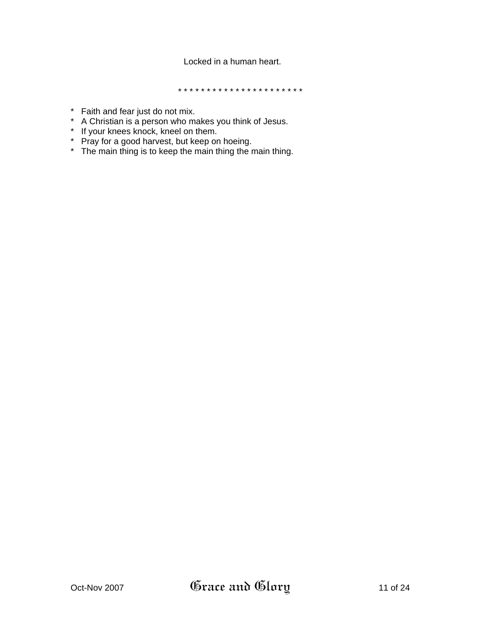## Locked in a human heart.

\* \* \* \* \* \* \* \* \* \* \* \* \* \* \* \* \* \* \* \* \* \*

- \* Faith and fear just do not mix.
- \* A Christian is a person who makes you think of Jesus.
- \* If your knees knock, kneel on them.
- \* Pray for a good harvest, but keep on hoeing.
- \* The main thing is to keep the main thing the main thing.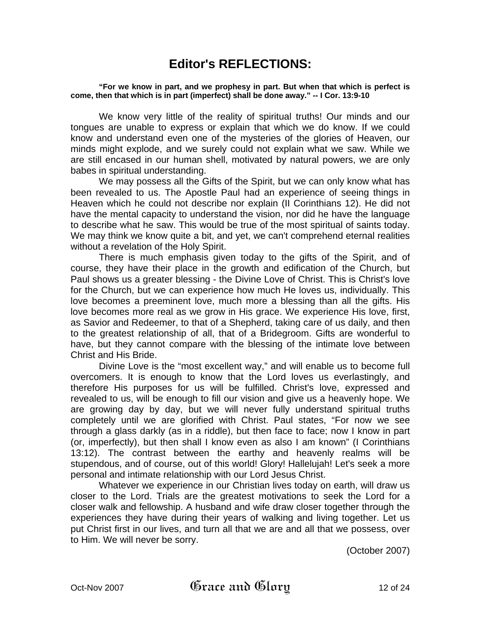# **Editor's REFLECTIONS:**

**"For we know in part, and we prophesy in part. But when that which is perfect is come, then that which is in part (imperfect) shall be done away." -- I Cor. 13:9-10** 

We know very little of the reality of spiritual truths! Our minds and our tongues are unable to express or explain that which we do know. If we could know and understand even one of the mysteries of the glories of Heaven, our minds might explode, and we surely could not explain what we saw. While we are still encased in our human shell, motivated by natural powers, we are only babes in spiritual understanding.

We may possess all the Gifts of the Spirit, but we can only know what has been revealed to us. The Apostle Paul had an experience of seeing things in Heaven which he could not describe nor explain (II Corinthians 12). He did not have the mental capacity to understand the vision, nor did he have the language to describe what he saw. This would be true of the most spiritual of saints today. We may think we know quite a bit, and yet, we can't comprehend eternal realities without a revelation of the Holy Spirit.

There is much emphasis given today to the gifts of the Spirit, and of course, they have their place in the growth and edification of the Church, but Paul shows us a greater blessing - the Divine Love of Christ. This is Christ's love for the Church, but we can experience how much He loves us, individually. This love becomes a preeminent love, much more a blessing than all the gifts. His love becomes more real as we grow in His grace. We experience His love, first, as Savior and Redeemer, to that of a Shepherd, taking care of us daily, and then to the greatest relationship of all, that of a Bridegroom. Gifts are wonderful to have, but they cannot compare with the blessing of the intimate love between Christ and His Bride.

Divine Love is the "most excellent way," and will enable us to become full overcomers. It is enough to know that the Lord loves us everlastingly, and therefore His purposes for us will be fulfilled. Christ's love, expressed and revealed to us, will be enough to fill our vision and give us a heavenly hope. We are growing day by day, but we will never fully understand spiritual truths completely until we are glorified with Christ. Paul states, "For now we see through a glass darkly (as in a riddle), but then face to face; now I know in part (or, imperfectly), but then shall I know even as also I am known" (I Corinthians 13:12). The contrast between the earthy and heavenly realms will be stupendous, and of course, out of this world! Glory! Hallelujah! Let's seek a more personal and intimate relationship with our Lord Jesus Christ.

Whatever we experience in our Christian lives today on earth, will draw us closer to the Lord. Trials are the greatest motivations to seek the Lord for a closer walk and fellowship. A husband and wife draw closer together through the experiences they have during their years of walking and living together. Let us put Christ first in our lives, and turn all that we are and all that we possess, over to Him. We will never be sorry.

(October 2007)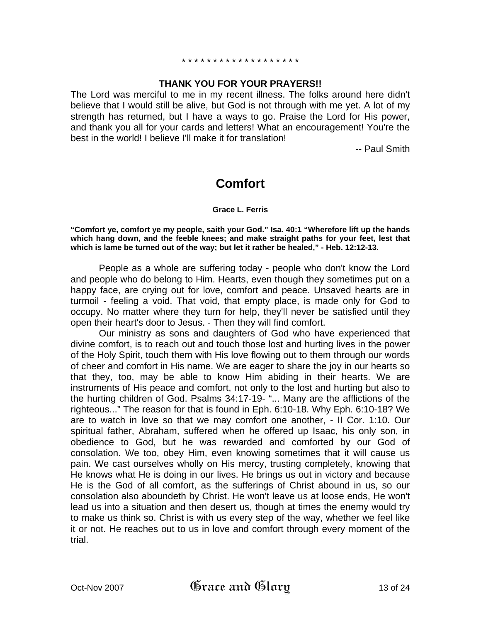# \* \* \* \* \* \* \* \* \* \* \* \* \* \* \* \* \* \* \*

## **THANK YOU FOR YOUR PRAYERS!!**

The Lord was merciful to me in my recent illness. The folks around here didn't believe that I would still be alive, but God is not through with me yet. A lot of my strength has returned, but I have a ways to go. Praise the Lord for His power, and thank you all for your cards and letters! What an encouragement! You're the best in the world! I believe I'll make it for translation!

-- Paul Smith

# **Comfort**

#### **Grace L. Ferris**

**"Comfort ye, comfort ye my people, saith your God." Isa. 40:1 "Wherefore lift up the hands which hang down, and the feeble knees; and make straight paths for your feet, lest that which is lame be turned out of the way; but let it rather be healed," - Heb. 12:12-13.** 

People as a whole are suffering today - people who don't know the Lord and people who do belong to Him. Hearts, even though they sometimes put on a happy face, are crying out for love, comfort and peace. Unsaved hearts are in turmoil - feeling a void. That void, that empty place, is made only for God to occupy. No matter where they turn for help, they'll never be satisfied until they open their heart's door to Jesus. - Then they will find comfort.

Our ministry as sons and daughters of God who have experienced that divine comfort, is to reach out and touch those lost and hurting lives in the power of the Holy Spirit, touch them with His love flowing out to them through our words of cheer and comfort in His name. We are eager to share the joy in our hearts so that they, too, may be able to know Him abiding in their hearts. We are instruments of His peace and comfort, not only to the lost and hurting but also to the hurting children of God. Psalms 34:17-19- "... Many are the afflictions of the righteous..." The reason for that is found in Eph. 6:10-18. Why Eph. 6:10-18? We are to watch in love so that we may comfort one another, - II Cor. 1:10. Our spiritual father, Abraham, suffered when he offered up Isaac, his only son, in obedience to God, but he was rewarded and comforted by our God of consolation. We too, obey Him, even knowing sometimes that it will cause us pain. We cast ourselves wholly on His mercy, trusting completely, knowing that He knows what He is doing in our lives. He brings us out in victory and because He is the God of all comfort, as the sufferings of Christ abound in us, so our consolation also aboundeth by Christ. He won't leave us at loose ends, He won't lead us into a situation and then desert us, though at times the enemy would try to make us think so. Christ is with us every step of the way, whether we feel like it or not. He reaches out to us in love and comfort through every moment of the trial.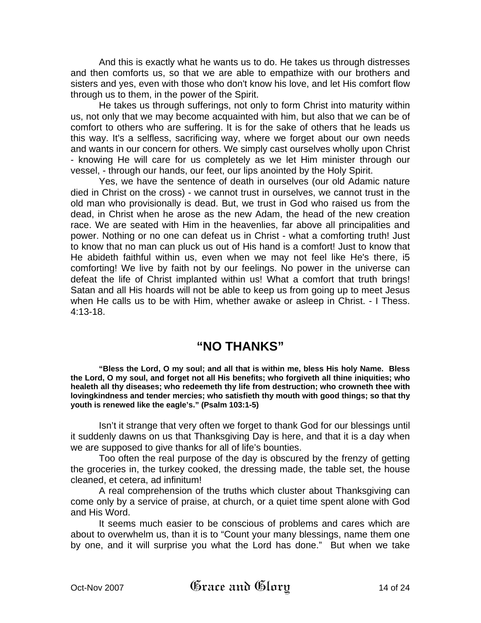And this is exactly what he wants us to do. He takes us through distresses and then comforts us, so that we are able to empathize with our brothers and sisters and yes, even with those who don't know his love, and let His comfort flow through us to them, in the power of the Spirit.

He takes us through sufferings, not only to form Christ into maturity within us, not only that we may become acquainted with him, but also that we can be of comfort to others who are suffering. It is for the sake of others that he leads us this way. It's a selfless, sacrificing way, where we forget about our own needs and wants in our concern for others. We simply cast ourselves wholly upon Christ - knowing He will care for us completely as we let Him minister through our vessel, - through our hands, our feet, our lips anointed by the Holy Spirit.

Yes, we have the sentence of death in ourselves (our old Adamic nature died in Christ on the cross) - we cannot trust in ourselves, we cannot trust in the old man who provisionally is dead. But, we trust in God who raised us from the dead, in Christ when he arose as the new Adam, the head of the new creation race. We are seated with Him in the heavenlies, far above all principalities and power. Nothing or no one can defeat us in Christ - what a comforting truth! Just to know that no man can pluck us out of His hand is a comfort! Just to know that He abideth faithful within us, even when we may not feel like He's there, i5 comforting! We live by faith not by our feelings. No power in the universe can defeat the life of Christ implanted within us! What a comfort that truth brings! Satan and all His hoards will not be able to keep us from going up to meet Jesus when He calls us to be with Him, whether awake or asleep in Christ. - I Thess. 4:13-18.

## **"NO THANKS"**

**"Bless the Lord, O my soul; and all that is within me, bless His holy Name. Bless the Lord, O my soul, and forget not all His benefits; who forgiveth all thine iniquities; who healeth all thy diseases; who redeemeth thy life from destruction; who crowneth thee with lovingkindness and tender mercies; who satisfieth thy mouth with good things; so that thy youth is renewed like the eagle's." (Psalm 103:1-5)** 

 Isn't it strange that very often we forget to thank God for our blessings until it suddenly dawns on us that Thanksgiving Day is here, and that it is a day when we are supposed to give thanks for all of life's bounties.

 Too often the real purpose of the day is obscured by the frenzy of getting the groceries in, the turkey cooked, the dressing made, the table set, the house cleaned, et cetera, ad infinitum!

 A real comprehension of the truths which cluster about Thanksgiving can come only by a service of praise, at church, or a quiet time spent alone with God and His Word.

 It seems much easier to be conscious of problems and cares which are about to overwhelm us, than it is to "Count your many blessings, name them one by one, and it will surprise you what the Lord has done." But when we take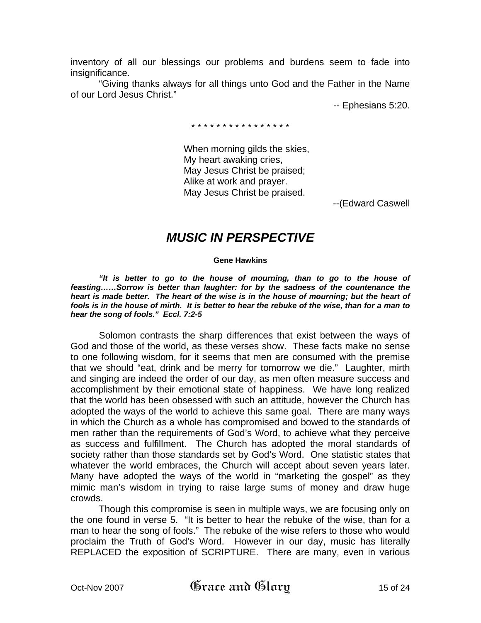inventory of all our blessings our problems and burdens seem to fade into insignificance.

 "Giving thanks always for all things unto God and the Father in the Name of our Lord Jesus Christ."

-- Ephesians 5:20.

\* \* \* \* \* \* \* \* \* \* \* \* \* \* \* \*

 When morning gilds the skies, My heart awaking cries, May Jesus Christ be praised; Alike at work and prayer. May Jesus Christ be praised.

--(Edward Caswell

## *MUSIC IN PERSPECTIVE*

**Gene Hawkins** 

 *"It is better to go to the house of mourning, than to go to the house of feasting……Sorrow is better than laughter: for by the sadness of the countenance the*  heart is made better. The heart of the wise is in the house of mourning; but the heart of *fools is in the house of mirth. It is better to hear the rebuke of the wise, than for a man to hear the song of fools." Eccl. 7:2-5*

 Solomon contrasts the sharp differences that exist between the ways of God and those of the world, as these verses show. These facts make no sense to one following wisdom, for it seems that men are consumed with the premise that we should "eat, drink and be merry for tomorrow we die." Laughter, mirth and singing are indeed the order of our day, as men often measure success and accomplishment by their emotional state of happiness. We have long realized that the world has been obsessed with such an attitude, however the Church has adopted the ways of the world to achieve this same goal. There are many ways in which the Church as a whole has compromised and bowed to the standards of men rather than the requirements of God's Word, to achieve what they perceive as success and fulfillment. The Church has adopted the moral standards of society rather than those standards set by God's Word. One statistic states that whatever the world embraces, the Church will accept about seven years later. Many have adopted the ways of the world in "marketing the gospel" as they mimic man's wisdom in trying to raise large sums of money and draw huge crowds.

 Though this compromise is seen in multiple ways, we are focusing only on the one found in verse 5. "It is better to hear the rebuke of the wise, than for a man to hear the song of fools." The rebuke of the wise refers to those who would proclaim the Truth of God's Word. However in our day, music has literally REPLACED the exposition of SCRIPTURE. There are many, even in various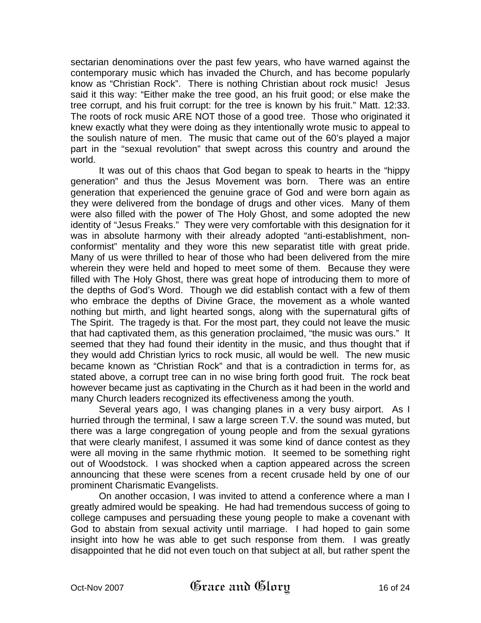sectarian denominations over the past few years, who have warned against the contemporary music which has invaded the Church, and has become popularly know as "Christian Rock". There is nothing Christian about rock music! Jesus said it this way: "Either make the tree good, an his fruit good; or else make the tree corrupt, and his fruit corrupt: for the tree is known by his fruit." Matt. 12:33. The roots of rock music ARE NOT those of a good tree. Those who originated it knew exactly what they were doing as they intentionally wrote music to appeal to the soulish nature of men. The music that came out of the 60's played a major part in the "sexual revolution" that swept across this country and around the world.

 It was out of this chaos that God began to speak to hearts in the "hippy generation" and thus the Jesus Movement was born. There was an entire generation that experienced the genuine grace of God and were born again as they were delivered from the bondage of drugs and other vices. Many of them were also filled with the power of The Holy Ghost, and some adopted the new identity of "Jesus Freaks." They were very comfortable with this designation for it was in absolute harmony with their already adopted "anti-establishment, nonconformist" mentality and they wore this new separatist title with great pride. Many of us were thrilled to hear of those who had been delivered from the mire wherein they were held and hoped to meet some of them. Because they were filled with The Holy Ghost, there was great hope of introducing them to more of the depths of God's Word. Though we did establish contact with a few of them who embrace the depths of Divine Grace, the movement as a whole wanted nothing but mirth, and light hearted songs, along with the supernatural gifts of The Spirit. The tragedy is that. For the most part, they could not leave the music that had captivated them, as this generation proclaimed, "the music was ours." It seemed that they had found their identity in the music, and thus thought that if they would add Christian lyrics to rock music, all would be well. The new music became known as "Christian Rock" and that is a contradiction in terms for, as stated above, a corrupt tree can in no wise bring forth good fruit. The rock beat however became just as captivating in the Church as it had been in the world and many Church leaders recognized its effectiveness among the youth.

 Several years ago, I was changing planes in a very busy airport. As I hurried through the terminal, I saw a large screen T.V. the sound was muted, but there was a large congregation of young people and from the sexual gyrations that were clearly manifest, I assumed it was some kind of dance contest as they were all moving in the same rhythmic motion. It seemed to be something right out of Woodstock. I was shocked when a caption appeared across the screen announcing that these were scenes from a recent crusade held by one of our prominent Charismatic Evangelists.

 On another occasion, I was invited to attend a conference where a man I greatly admired would be speaking. He had had tremendous success of going to college campuses and persuading these young people to make a covenant with God to abstain from sexual activity until marriage. I had hoped to gain some insight into how he was able to get such response from them. I was greatly disappointed that he did not even touch on that subject at all, but rather spent the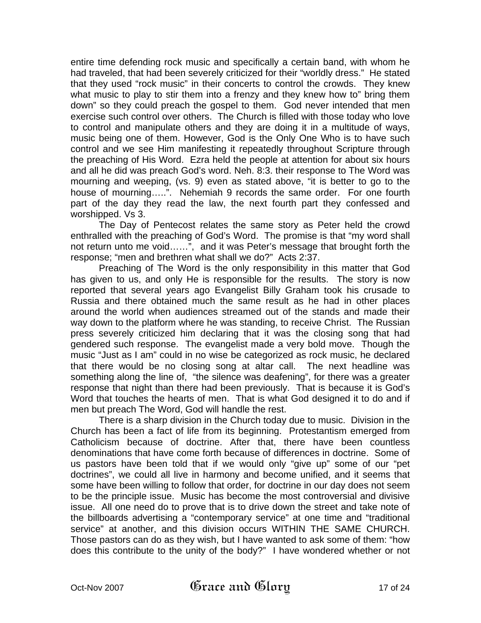entire time defending rock music and specifically a certain band, with whom he had traveled, that had been severely criticized for their "worldly dress." He stated that they used "rock music" in their concerts to control the crowds. They knew what music to play to stir them into a frenzy and they knew how to" bring them down" so they could preach the gospel to them. God never intended that men exercise such control over others. The Church is filled with those today who love to control and manipulate others and they are doing it in a multitude of ways, music being one of them. However, God is the Only One Who is to have such control and we see Him manifesting it repeatedly throughout Scripture through the preaching of His Word. Ezra held the people at attention for about six hours and all he did was preach God's word. Neh. 8:3. their response to The Word was mourning and weeping, (vs. 9) even as stated above, "it is better to go to the house of mourning…..". Nehemiah 9 records the same order. For one fourth part of the day they read the law, the next fourth part they confessed and worshipped. Vs 3.

 The Day of Pentecost relates the same story as Peter held the crowd enthralled with the preaching of God's Word. The promise is that "my word shall not return unto me void……", and it was Peter's message that brought forth the response; "men and brethren what shall we do?" Acts 2:37.

 Preaching of The Word is the only responsibility in this matter that God has given to us, and only He is responsible for the results. The story is now reported that several years ago Evangelist Billy Graham took his crusade to Russia and there obtained much the same result as he had in other places around the world when audiences streamed out of the stands and made their way down to the platform where he was standing, to receive Christ. The Russian press severely criticized him declaring that it was the closing song that had gendered such response. The evangelist made a very bold move. Though the music "Just as I am" could in no wise be categorized as rock music, he declared that there would be no closing song at altar call. The next headline was something along the line of, "the silence was deafening", for there was a greater response that night than there had been previously. That is because it is God's Word that touches the hearts of men. That is what God designed it to do and if men but preach The Word, God will handle the rest.

 There is a sharp division in the Church today due to music. Division in the Church has been a fact of life from its beginning. Protestantism emerged from Catholicism because of doctrine. After that, there have been countless denominations that have come forth because of differences in doctrine. Some of us pastors have been told that if we would only "give up" some of our "pet doctrines", we could all live in harmony and become unified, and it seems that some have been willing to follow that order, for doctrine in our day does not seem to be the principle issue. Music has become the most controversial and divisive issue. All one need do to prove that is to drive down the street and take note of the billboards advertising a "contemporary service" at one time and "traditional service" at another, and this division occurs WITHIN THE SAME CHURCH. Those pastors can do as they wish, but I have wanted to ask some of them: "how does this contribute to the unity of the body?" I have wondered whether or not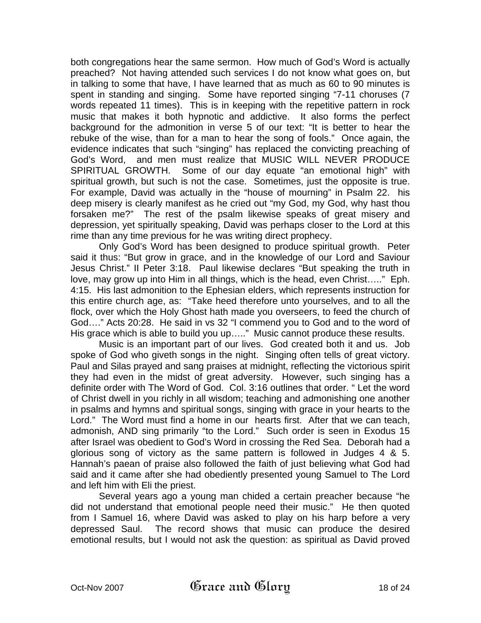both congregations hear the same sermon. How much of God's Word is actually preached? Not having attended such services I do not know what goes on, but in talking to some that have, I have learned that as much as 60 to 90 minutes is spent in standing and singing. Some have reported singing "7-11 choruses (7 words repeated 11 times). This is in keeping with the repetitive pattern in rock music that makes it both hypnotic and addictive. It also forms the perfect background for the admonition in verse 5 of our text: "It is better to hear the rebuke of the wise, than for a man to hear the song of fools." Once again, the evidence indicates that such "singing" has replaced the convicting preaching of God's Word, and men must realize that MUSIC WILL NEVER PRODUCE SPIRITUAL GROWTH. Some of our day equate "an emotional high" with spiritual growth, but such is not the case. Sometimes, just the opposite is true. For example, David was actually in the "house of mourning" in Psalm 22. his deep misery is clearly manifest as he cried out "my God, my God, why hast thou forsaken me?" The rest of the psalm likewise speaks of great misery and depression, yet spiritually speaking, David was perhaps closer to the Lord at this rime than any time previous for he was writing direct prophecy.

 Only God's Word has been designed to produce spiritual growth. Peter said it thus: "But grow in grace, and in the knowledge of our Lord and Saviour Jesus Christ." II Peter 3:18. Paul likewise declares "But speaking the truth in love, may grow up into Him in all things, which is the head, even Christ….." Eph. 4:15. His last admonition to the Ephesian elders, which represents instruction for this entire church age, as: "Take heed therefore unto yourselves, and to all the flock, over which the Holy Ghost hath made you overseers, to feed the church of God…." Acts 20:28. He said in vs 32 "I commend you to God and to the word of His grace which is able to build you up….." Music cannot produce these results.

 Music is an important part of our lives. God created both it and us. Job spoke of God who giveth songs in the night. Singing often tells of great victory. Paul and Silas prayed and sang praises at midnight, reflecting the victorious spirit they had even in the midst of great adversity. However, such singing has a definite order with The Word of God. Col. 3:16 outlines that order. " Let the word of Christ dwell in you richly in all wisdom; teaching and admonishing one another in psalms and hymns and spiritual songs, singing with grace in your hearts to the Lord." The Word must find a home in our hearts first. After that we can teach, admonish, AND sing primarily "to the Lord." Such order is seen in Exodus 15 after Israel was obedient to God's Word in crossing the Red Sea. Deborah had a glorious song of victory as the same pattern is followed in Judges 4 & 5. Hannah's paean of praise also followed the faith of just believing what God had said and it came after she had obediently presented young Samuel to The Lord and left him with Eli the priest.

 Several years ago a young man chided a certain preacher because "he did not understand that emotional people need their music." He then quoted from I Samuel 16, where David was asked to play on his harp before a very depressed Saul. The record shows that music can produce the desired emotional results, but I would not ask the question: as spiritual as David proved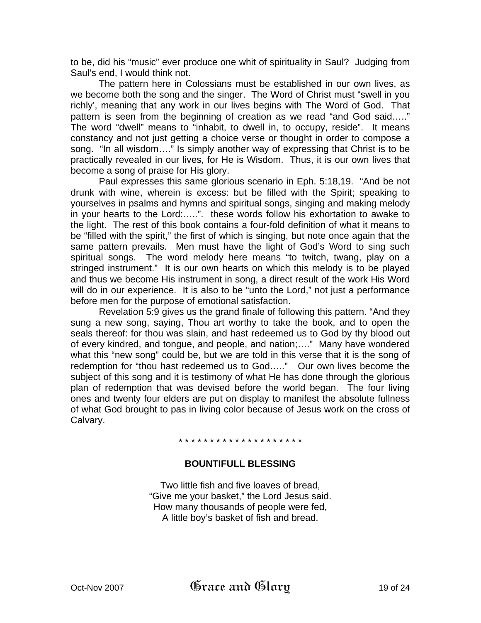to be, did his "music" ever produce one whit of spirituality in Saul? Judging from Saul's end, I would think not.

 The pattern here in Colossians must be established in our own lives, as we become both the song and the singer. The Word of Christ must "swell in you richly', meaning that any work in our lives begins with The Word of God. That pattern is seen from the beginning of creation as we read "and God said….." The word "dwell" means to "inhabit, to dwell in, to occupy, reside". It means constancy and not just getting a choice verse or thought in order to compose a song. "In all wisdom…." Is simply another way of expressing that Christ is to be practically revealed in our lives, for He is Wisdom. Thus, it is our own lives that become a song of praise for His glory.

 Paul expresses this same glorious scenario in Eph. 5:18,19. "And be not drunk with wine, wherein is excess: but be filled with the Spirit; speaking to yourselves in psalms and hymns and spiritual songs, singing and making melody in your hearts to the Lord:…..". these words follow his exhortation to awake to the light. The rest of this book contains a four-fold definition of what it means to be "filled with the spirit," the first of which is singing, but note once again that the same pattern prevails. Men must have the light of God's Word to sing such spiritual songs. The word melody here means "to twitch, twang, play on a stringed instrument." It is our own hearts on which this melody is to be played and thus we become His instrument in song, a direct result of the work His Word will do in our experience. It is also to be "unto the Lord," not just a performance before men for the purpose of emotional satisfaction.

 Revelation 5:9 gives us the grand finale of following this pattern. "And they sung a new song, saying, Thou art worthy to take the book, and to open the seals thereof: for thou was slain, and hast redeemed us to God by thy blood out of every kindred, and tongue, and people, and nation;…." Many have wondered what this "new song" could be, but we are told in this verse that it is the song of redemption for "thou hast redeemed us to God….." Our own lives become the subject of this song and it is testimony of what He has done through the glorious plan of redemption that was devised before the world began. The four living ones and twenty four elders are put on display to manifest the absolute fullness of what God brought to pas in living color because of Jesus work on the cross of Calvary.

#### \* \* \* \* \* \* \* \* \* \* \* \* \* \* \* \* \* \* \* \*

## **BOUNTIFULL BLESSING**

Two little fish and five loaves of bread, "Give me your basket," the Lord Jesus said. How many thousands of people were fed, A little boy's basket of fish and bread.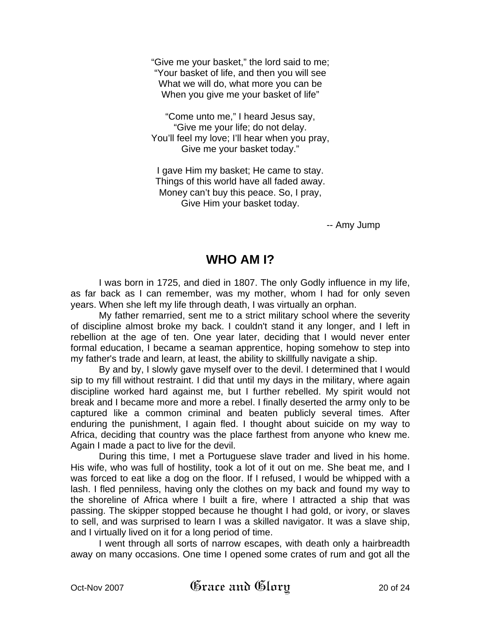"Give me your basket," the lord said to me; "Your basket of life, and then you will see What we will do, what more you can be When you give me your basket of life"

"Come unto me," I heard Jesus say, "Give me your life; do not delay. You'll feel my love; I'll hear when you pray, Give me your basket today."

I gave Him my basket; He came to stay. Things of this world have all faded away. Money can't buy this peace. So, I pray, Give Him your basket today.

-- Amy Jump

# **WHO AM I?**

I was born in 1725, and died in 1807. The only Godly influence in my life, as far back as I can remember, was my mother, whom I had for only seven years. When she left my life through death, I was virtually an orphan.

My father remarried, sent me to a strict military school where the severity of discipline almost broke my back. I couldn't stand it any longer, and I left in rebellion at the age of ten. One year later, deciding that I would never enter formal education, I became a seaman apprentice, hoping somehow to step into my father's trade and learn, at least, the ability to skillfully navigate a ship.

By and by, I slowly gave myself over to the devil. I determined that I would sip to my fill without restraint. I did that until my days in the military, where again discipline worked hard against me, but I further rebelled. My spirit would not break and I became more and more a rebel. I finally deserted the army only to be captured like a common criminal and beaten publicly several times. After enduring the punishment, I again fled. I thought about suicide on my way to Africa, deciding that country was the place farthest from anyone who knew me. Again I made a pact to live for the devil.

During this time, I met a Portuguese slave trader and lived in his home. His wife, who was full of hostility, took a lot of it out on me. She beat me, and I was forced to eat like a dog on the floor. If I refused, I would be whipped with a lash. I fled penniless, having only the clothes on my back and found my way to the shoreline of Africa where I built a fire, where I attracted a ship that was passing. The skipper stopped because he thought I had gold, or ivory, or slaves to sell, and was surprised to learn I was a skilled navigator. It was a slave ship, and I virtually lived on it for a long period of time.

I went through all sorts of narrow escapes, with death only a hairbreadth away on many occasions. One time I opened some crates of rum and got all the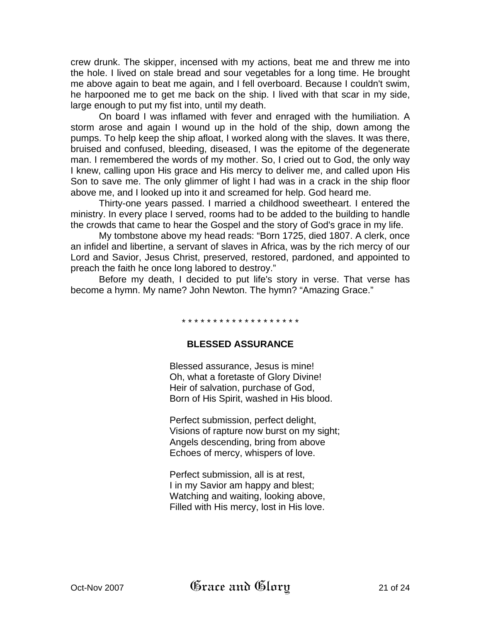crew drunk. The skipper, incensed with my actions, beat me and threw me into the hole. I lived on stale bread and sour vegetables for a long time. He brought me above again to beat me again, and I fell overboard. Because I couldn't swim, he harpooned me to get me back on the ship. I lived with that scar in my side, large enough to put my fist into, until my death.

On board I was inflamed with fever and enraged with the humiliation. A storm arose and again I wound up in the hold of the ship, down among the pumps. To help keep the ship afloat, I worked along with the slaves. It was there, bruised and confused, bleeding, diseased, I was the epitome of the degenerate man. I remembered the words of my mother. So, I cried out to God, the only way I knew, calling upon His grace and His mercy to deliver me, and called upon His Son to save me. The only glimmer of light I had was in a crack in the ship floor above me, and I looked up into it and screamed for help. God heard me.

Thirty-one years passed. I married a childhood sweetheart. I entered the ministry. In every place I served, rooms had to be added to the building to handle the crowds that came to hear the Gospel and the story of God's grace in my life.

My tombstone above my head reads: "Born 1725, died 1807. A clerk, once an infidel and libertine, a servant of slaves in Africa, was by the rich mercy of our Lord and Savior, Jesus Christ, preserved, restored, pardoned, and appointed to preach the faith he once long labored to destroy."

Before my death, I decided to put life's story in verse. That verse has become a hymn. My name? John Newton. The hymn? "Amazing Grace."

#### \* \* \* \* \* \* \* \* \* \* \* \* \* \* \* \* \* \* \*

#### **BLESSED ASSURANCE**

Blessed assurance, Jesus is mine! Oh, what a foretaste of Glory Divine! Heir of salvation, purchase of God, Born of His Spirit, washed in His blood.

Perfect submission, perfect delight, Visions of rapture now burst on my sight; Angels descending, bring from above Echoes of mercy, whispers of love.

Perfect submission, all is at rest, I in my Savior am happy and blest; Watching and waiting, looking above, Filled with His mercy, lost in His love.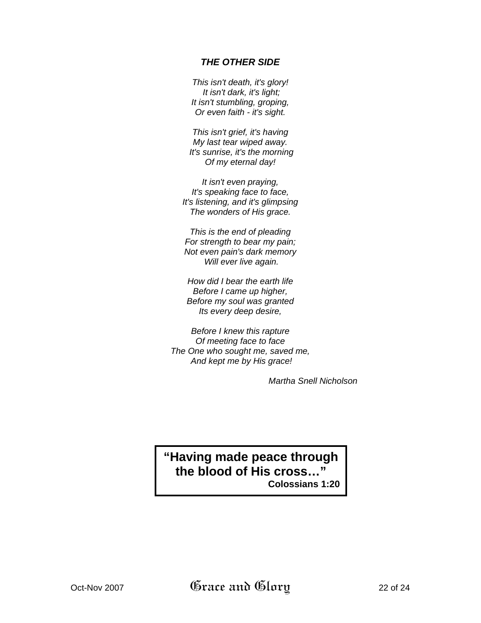### *THE OTHER SIDE*

*This isn't death, it's glory! It isn't dark, it's light; It isn't stumbling, groping, Or even faith - it's sight.* 

*This isn't grief, it's having My last tear wiped away. It's sunrise, it's the morning Of my eternal day!* 

*It isn't even praying, It's speaking face to face, It's listening, and it's glimpsing The wonders of His grace.* 

*This is the end of pleading For strength to bear my pain; Not even pain's dark memory Will ever live again.* 

*How did I bear the earth life Before I came up higher, Before my soul was granted Its every deep desire,* 

*Before I knew this rapture Of meeting face to face The One who sought me, saved me, And kept me by His grace!* 

*Martha Snell Nicholson* 

# **"Having made peace through the blood of His cross…" Colossians 1:20**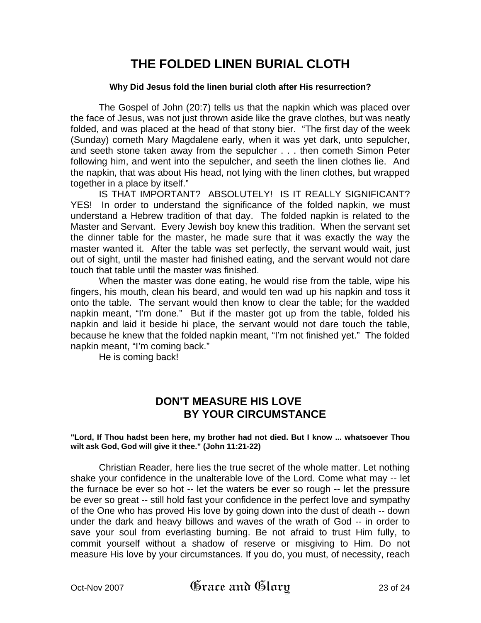# **THE FOLDED LINEN BURIAL CLOTH**

#### **Why Did Jesus fold the linen burial cloth after His resurrection?**

 The Gospel of John (20:7) tells us that the napkin which was placed over the face of Jesus, was not just thrown aside like the grave clothes, but was neatly folded, and was placed at the head of that stony bier. "The first day of the week (Sunday) cometh Mary Magdalene early, when it was yet dark, unto sepulcher, and seeth stone taken away from the sepulcher . . . then cometh Simon Peter following him, and went into the sepulcher, and seeth the linen clothes lie. And the napkin, that was about His head, not lying with the linen clothes, but wrapped together in a place by itself."

 IS THAT IMPORTANT? ABSOLUTELY! IS IT REALLY SIGNIFICANT? YES! In order to understand the significance of the folded napkin, we must understand a Hebrew tradition of that day. The folded napkin is related to the Master and Servant. Every Jewish boy knew this tradition. When the servant set the dinner table for the master, he made sure that it was exactly the way the master wanted it. After the table was set perfectly, the servant would wait, just out of sight, until the master had finished eating, and the servant would not dare touch that table until the master was finished.

 When the master was done eating, he would rise from the table, wipe his fingers, his mouth, clean his beard, and would ten wad up his napkin and toss it onto the table. The servant would then know to clear the table; for the wadded napkin meant, "I'm done." But if the master got up from the table, folded his napkin and laid it beside hi place, the servant would not dare touch the table, because he knew that the folded napkin meant, "I'm not finished yet." The folded napkin meant, "I'm coming back."

He is coming back!

## **DON'T MEASURE HIS LOVE BY YOUR CIRCUMSTANCE**

#### **"Lord, If Thou hadst been here, my brother had not died. But I know ... whatsoever Thou wilt ask God, God will give it thee." (John 11:21-22)**

Christian Reader, here lies the true secret of the whole matter. Let nothing shake your confidence in the unalterable love of the Lord. Come what may -- let the furnace be ever so hot -- let the waters be ever so rough -- let the pressure be ever so great -- still hold fast your confidence in the perfect love and sympathy of the One who has proved His love by going down into the dust of death -- down under the dark and heavy billows and waves of the wrath of God -- in order to save your soul from everlasting burning. Be not afraid to trust Him fully, to commit yourself without a shadow of reserve or misgiving to Him. Do not measure His love by your circumstances. If you do, you must, of necessity, reach